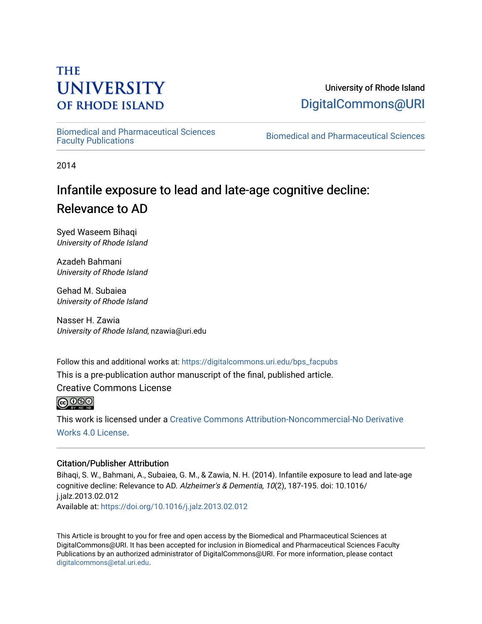## **THE UNIVERSITY OF RHODE ISLAND**

### University of Rhode Island [DigitalCommons@URI](https://digitalcommons.uri.edu/)

[Biomedical and Pharmaceutical Sciences](https://digitalcommons.uri.edu/bps_facpubs) 

Biomedical and Pharmaceutical Sciences

2014

# Infantile exposure to lead and late-age cognitive decline: Relevance to AD

Syed Waseem Bihaqi University of Rhode Island

Azadeh Bahmani University of Rhode Island

Gehad M. Subaiea University of Rhode Island

Nasser H. Zawia University of Rhode Island, nzawia@uri.edu

Follow this and additional works at: [https://digitalcommons.uri.edu/bps\\_facpubs](https://digitalcommons.uri.edu/bps_facpubs?utm_source=digitalcommons.uri.edu%2Fbps_facpubs%2F146&utm_medium=PDF&utm_campaign=PDFCoverPages)

This is a pre-publication author manuscript of the final, published article.

Creative Commons License



This work is licensed under a [Creative Commons Attribution-Noncommercial-No Derivative](https://creativecommons.org/licenses/by-nc-nd/4.0/)  [Works 4.0 License](https://creativecommons.org/licenses/by-nc-nd/4.0/).

#### Citation/Publisher Attribution

Bihaqi, S. W., Bahmani, A., Subaiea, G. M., & Zawia, N. H. (2014). Infantile exposure to lead and late-age cognitive decline: Relevance to AD. Alzheimer's & Dementia, 10(2), 187-195. doi: 10.1016/ j.jalz.2013.02.012 Available at:<https://doi.org/10.1016/j.jalz.2013.02.012>

This Article is brought to you for free and open access by the Biomedical and Pharmaceutical Sciences at DigitalCommons@URI. It has been accepted for inclusion in Biomedical and Pharmaceutical Sciences Faculty Publications by an authorized administrator of DigitalCommons@URI. For more information, please contact [digitalcommons@etal.uri.edu](mailto:digitalcommons@etal.uri.edu).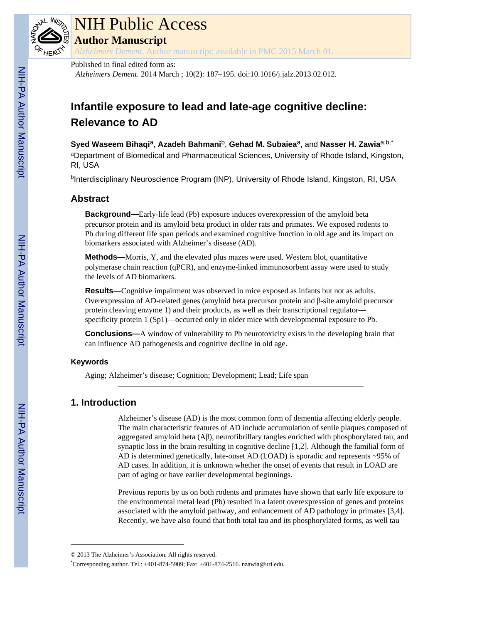

# NIH Public Access

**Author Manuscript**

*Alzheimers Dement*. Author manuscript; available in PMC 2015 March 01.

#### Published in final edited form as:

*Alzheimers Dement*. 2014 March ; 10(2): 187–195. doi:10.1016/j.jalz.2013.02.012.

## **Infantile exposure to lead and late-age cognitive decline: Relevance to AD**

#### **Syed Waseem Bihaqi**a, **Azadeh Bahmani**b, **Gehad M. Subaiea**a, and **Nasser H. Zawia**a,b,\*

aDepartment of Biomedical and Pharmaceutical Sciences, University of Rhode Island, Kingston, RI, USA

<sup>b</sup>Interdisciplinary Neuroscience Program (INP), University of Rhode Island, Kingston, RI, USA

#### **Abstract**

**Background—**Early-life lead (Pb) exposure induces overexpression of the amyloid beta precursor protein and its amyloid beta product in older rats and primates. We exposed rodents to Pb during different life span periods and examined cognitive function in old age and its impact on biomarkers associated with Alzheimer's disease (AD).

**Methods—**Morris, Y, and the elevated plus mazes were used. Western blot, quantitative polymerase chain reaction (qPCR), and enzyme-linked immunosorbent assay were used to study the levels of AD biomarkers.

**Results—**Cognitive impairment was observed in mice exposed as infants but not as adults. Overexpression of AD-related genes (amyloid beta precursor protein and β-site amyloid precursor protein cleaving enzyme 1) and their products, as well as their transcriptional regulator specificity protein 1 (Sp1)—occurred only in older mice with developmental exposure to Pb.

**Conclusions—**A window of vulnerability to Pb neurotoxicity exists in the developing brain that can influence AD pathogenesis and cognitive decline in old age.

#### **Keywords**

Aging; Alzheimer's disease; Cognition; Development; Lead; Life span

#### **1. Introduction**

Alzheimer's disease (AD) is the most common form of dementia affecting elderly people. The main characteristic features of AD include accumulation of senile plaques composed of aggregated amyloid beta (Aβ), neurofibrillary tangles enriched with phosphorylated tau, and synaptic loss in the brain resulting in cognitive decline [1,2]. Although the familial form of AD is determined genetically, late-onset AD (LOAD) is sporadic and represents ~95% of AD cases. In addition, it is unknown whether the onset of events that result in LOAD are part of aging or have earlier developmental beginnings.

Previous reports by us on both rodents and primates have shown that early life exposure to the environmental metal lead (Pb) resulted in a latent overexpression of genes and proteins associated with the amyloid pathway, and enhancement of AD pathology in primates [3,4]. Recently, we have also found that both total tau and its phosphorylated forms, as well tau

<sup>© 2013</sup> The Alzheimer's Association. All rights reserved.

<sup>\*</sup>Corresponding author. Tel.: +401-874-5909; Fax: +401-874-2516. nzawia@uri.edu.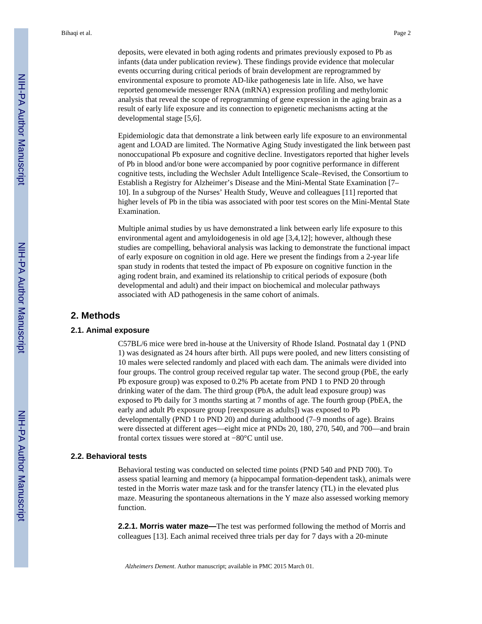deposits, were elevated in both aging rodents and primates previously exposed to Pb as infants (data under publication review). These findings provide evidence that molecular events occurring during critical periods of brain development are reprogrammed by environmental exposure to promote AD-like pathogenesis late in life. Also, we have reported genomewide messenger RNA (mRNA) expression profiling and methylomic analysis that reveal the scope of reprogramming of gene expression in the aging brain as a result of early life exposure and its connection to epigenetic mechanisms acting at the developmental stage [5,6].

Epidemiologic data that demonstrate a link between early life exposure to an environmental agent and LOAD are limited. The Normative Aging Study investigated the link between past nonoccupational Pb exposure and cognitive decline. Investigators reported that higher levels of Pb in blood and/or bone were accompanied by poor cognitive performance in different cognitive tests, including the Wechsler Adult Intelligence Scale–Revised, the Consortium to Establish a Registry for Alzheimer's Disease and the Mini-Mental State Examination [7– 10]. In a subgroup of the Nurses' Health Study, Weuve and colleagues [11] reported that higher levels of Pb in the tibia was associated with poor test scores on the Mini-Mental State Examination.

Multiple animal studies by us have demonstrated a link between early life exposure to this environmental agent and amyloidogenesis in old age [3,4,12]; however, although these studies are compelling, behavioral analysis was lacking to demonstrate the functional impact of early exposure on cognition in old age. Here we present the findings from a 2-year life span study in rodents that tested the impact of Pb exposure on cognitive function in the aging rodent brain, and examined its relationship to critical periods of exposure (both developmental and adult) and their impact on biochemical and molecular pathways associated with AD pathogenesis in the same cohort of animals.

#### **2. Methods**

#### **2.1. Animal exposure**

C57BL/6 mice were bred in-house at the University of Rhode Island. Postnatal day 1 (PND 1) was designated as 24 hours after birth. All pups were pooled, and new litters consisting of 10 males were selected randomly and placed with each dam. The animals were divided into four groups. The control group received regular tap water. The second group (PbE, the early Pb exposure group) was exposed to 0.2% Pb acetate from PND 1 to PND 20 through drinking water of the dam. The third group (PbA, the adult lead exposure group) was exposed to Pb daily for 3 months starting at 7 months of age. The fourth group (PbEA, the early and adult Pb exposure group [reexposure as adults]) was exposed to Pb developmentally (PND 1 to PND 20) and during adulthood (7–9 months of age). Brains were dissected at different ages—eight mice at PNDs 20, 180, 270, 540, and 700—and brain frontal cortex tissues were stored at −80°C until use.

#### **2.2. Behavioral tests**

Behavioral testing was conducted on selected time points (PND 540 and PND 700). To assess spatial learning and memory (a hippocampal formation-dependent task), animals were tested in the Morris water maze task and for the transfer latency (TL) in the elevated plus maze. Measuring the spontaneous alternations in the Y maze also assessed working memory function.

**2.2.1. Morris water maze—**The test was performed following the method of Morris and colleagues [13]. Each animal received three trials per day for 7 days with a 20-minute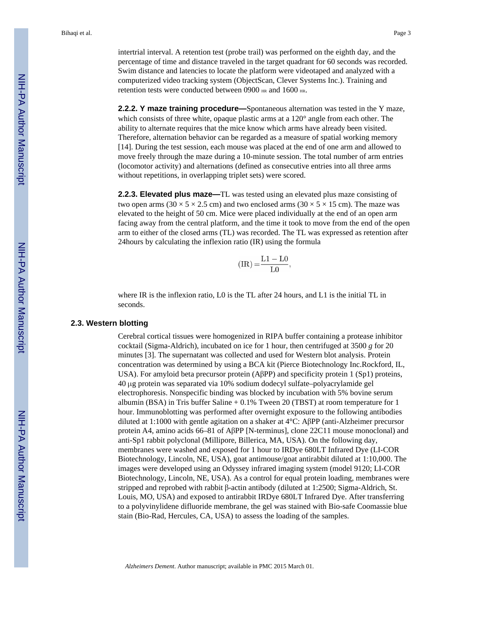intertrial interval. A retention test (probe trail) was performed on the eighth day, and the percentage of time and distance traveled in the target quadrant for 60 seconds was recorded. Swim distance and latencies to locate the platform were videotaped and analyzed with a computerized video tracking system (ObjectScan, Clever Systems Inc.). Training and retention tests were conducted between 0900 HR and 1600 HR.

**2.2.2. Y maze training procedure—**Spontaneous alternation was tested in the Y maze, which consists of three white, opaque plastic arms at a 120<sup>°</sup> angle from each other. The ability to alternate requires that the mice know which arms have already been visited. Therefore, alternation behavior can be regarded as a measure of spatial working memory [14]. During the test session, each mouse was placed at the end of one arm and allowed to move freely through the maze during a 10-minute session. The total number of arm entries (locomotor activity) and alternations (defined as consecutive entries into all three arms without repetitions, in overlapping triplet sets) were scored.

**2.2.3. Elevated plus maze—**TL was tested using an elevated plus maze consisting of two open arms ( $30 \times 5 \times 2.5$  cm) and two enclosed arms ( $30 \times 5 \times 15$  cm). The maze was elevated to the height of 50 cm. Mice were placed individually at the end of an open arm facing away from the central platform, and the time it took to move from the end of the open arm to either of the closed arms (TL) was recorded. The TL was expressed as retention after 24hours by calculating the inflexion ratio (IR) using the formula

$$
(IR) = \frac{L1 - L0}{L0},
$$

where IR is the inflexion ratio, L0 is the TL after 24 hours, and L1 is the initial TL in seconds.

#### **2.3. Western blotting**

Cerebral cortical tissues were homogenized in RIPA buffer containing a protease inhibitor cocktail (Sigma-Aldrich), incubated on ice for 1 hour, then centrifuged at 3500 *g* for 20 minutes [3]. The supernatant was collected and used for Western blot analysis. Protein concentration was determined by using a BCA kit (Pierce Biotechnology Inc.Rockford, IL, USA). For amyloid beta precursor protein (AβPP) and specificity protein 1 (Sp1) proteins, 40 μg protein was separated via 10% sodium dodecyl sulfate–polyacrylamide gel electrophoresis. Nonspecific binding was blocked by incubation with 5% bovine serum albumin (BSA) in Tris buffer Saline + 0.1% Tween 20 (TBST) at room temperature for 1 hour. Immunoblotting was performed after overnight exposure to the following antibodies diluted at 1:1000 with gentle agitation on a shaker at 4°C: AβPP (anti-Alzheimer precursor protein A4, amino acids 66–81 of AβPP [N-terminus], clone 22C11 mouse monoclonal) and anti-Sp1 rabbit polyclonal (Millipore, Billerica, MA, USA). On the following day, membranes were washed and exposed for 1 hour to IRDye 680LT Infrared Dye (LI-COR Biotechnology, Lincoln, NE, USA), goat antimouse/goat antirabbit diluted at 1:10,000. The images were developed using an Odyssey infrared imaging system (model 9120; LI-COR Biotechnology, Lincoln, NE, USA). As a control for equal protein loading, membranes were stripped and reprobed with rabbit β-actin antibody (diluted at 1:2500; Sigma-Aldrich, St. Louis, MO, USA) and exposed to antirabbit IRDye 680LT Infrared Dye. After transferring to a polyvinylidene difluoride membrane, the gel was stained with Bio-safe Coomassie blue stain (Bio-Rad, Hercules, CA, USA) to assess the loading of the samples.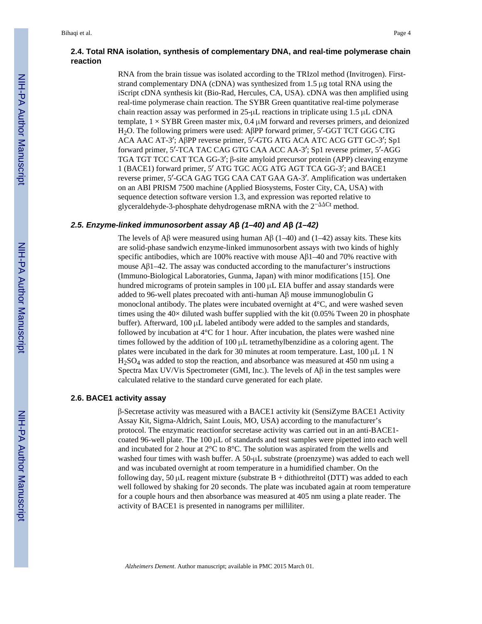RNA from the brain tissue was isolated according to the TRIzol method (Invitrogen). Firststrand complementary DNA (cDNA) was synthesized from 1.5 μg total RNA using the iScript cDNA synthesis kit (Bio-Rad, Hercules, CA, USA). cDNA was then amplified using real-time polymerase chain reaction. The SYBR Green quantitative real-time polymerase chain reaction assay was performed in 25-μL reactions in triplicate using 1.5 μL cDNA template,  $1 \times SYBR$  Green master mix,  $0.4 \mu M$  forward and reverses primers, and deionized H2O. The following primers were used: AβPP forward primer, 5′-GGT TCT GGG CTG ACA AAC AT-3′; AβPP reverse primer, 5′-GTG ATG ACA ATC ACG GTT GC-3′; Sp1 forward primer, 5′-TCA TAC CAG GTG CAA ACC AA-3′; Sp1 reverse primer, 5′-AGG TGA TGT TCC CAT TCA GG-3′; β-site amyloid precursor protein (APP) cleaving enzyme 1 (BACE1) forward primer, 5′ ATG TGC ACG ATG AGT TCA GG-3′; and BACE1 reverse primer, 5′-GCA GAG TGG CAA CAT GAA GA-3′. Amplification was undertaken on an ABI PRISM 7500 machine (Applied Biosystems, Foster City, CA, USA) with sequence detection software version 1.3, and expression was reported relative to glyceraldehyde-3-phosphate dehydrogenase mRNA with the 2−ΔΔCt method.

#### *2.5. Enzyme-linked immunosorbent assay A***β** *(1–40) and A***β** *(1–42)*

The levels of Aβ were measured using human Aβ (1–40) and (1–42) assay kits. These kits are solid-phase sandwich enzyme-linked immunosorbent assays with two kinds of highly specific antibodies, which are 100% reactive with mouse  $\Delta \beta$ 1–40 and 70% reactive with mouse  $\text{A}\beta$ 1–42. The assay was conducted according to the manufacturer's instructions (Immuno-Biological Laboratories, Gunma, Japan) with minor modifications [15]. One hundred micrograms of protein samples in 100 μL EIA buffer and assay standards were added to 96-well plates precoated with anti-human Aβ mouse immunoglobulin G monoclonal antibody. The plates were incubated overnight at 4°C, and were washed seven times using the  $40\times$  diluted wash buffer supplied with the kit (0.05% Tween 20 in phosphate buffer). Afterward, 100 μL labeled antibody were added to the samples and standards, followed by incubation at  $4^{\circ}$ C for 1 hour. After incubation, the plates were washed nine times followed by the addition of 100 μL tetramethylbenzidine as a coloring agent. The plates were incubated in the dark for 30 minutes at room temperature. Last, 100 μL 1 N H2SO4 was added to stop the reaction, and absorbance was measured at 450 nm using a Spectra Max UV/Vis Spectrometer (GMI, Inc.). The levels of  $\mathbf{A}\beta$  in the test samples were calculated relative to the standard curve generated for each plate.

#### **2.6. BACE1 activity assay**

β-Secretase activity was measured with a BACE1 activity kit (SensiZyme BACE1 Activity Assay Kit, Sigma-Aldrich, Saint Louis, MO, USA) according to the manufacturer's protocol. The enzymatic reactionfor secretase activity was carried out in an anti-BACE1 coated 96-well plate. The  $100 \mu L$  of standards and test samples were pipetted into each well and incubated for 2 hour at 2°C to 8°C. The solution was aspirated from the wells and washed four times with wash buffer. A 50-μL substrate (proenzyme) was added to each well and was incubated overnight at room temperature in a humidified chamber. On the following day, 50 μL reagent mixture (substrate  $B +$  dithiothreitol (DTT) was added to each well followed by shaking for 20 seconds. The plate was incubated again at room temperature for a couple hours and then absorbance was measured at 405 nm using a plate reader. The activity of BACE1 is presented in nanograms per milliliter.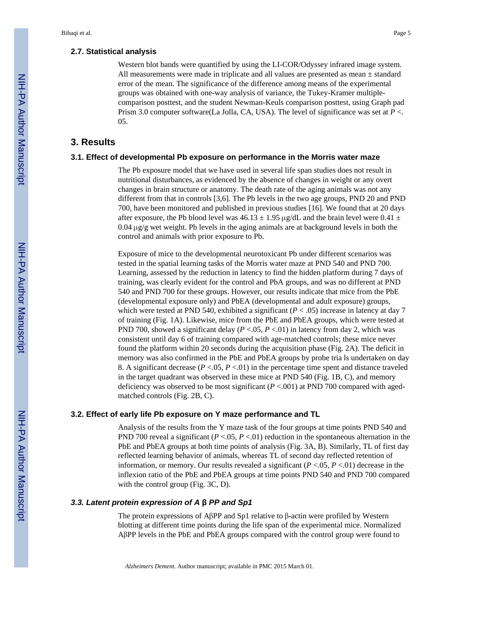#### **2.7. Statistical analysis**

Western blot bands were quantified by using the LI-COR/Odyssey infrared image system. All measurements were made in triplicate and all values are presented as mean ± standard error of the mean. The significance of the difference among means of the experimental groups was obtained with one-way analysis of variance, the Tukey-Kramer multiplecomparison posttest, and the student Newman-Keuls comparison posttest, using Graph pad Prism 3.0 computer software(La Jolla, CA, USA). The level of significance was set at *P* <. 05.

#### **3. Results**

#### **3.1. Effect of developmental Pb exposure on performance in the Morris water maze**

The Pb exposure model that we have used in several life span studies does not result in nutritional disturbances, as evidenced by the absence of changes in weight or any overt changes in brain structure or anatomy. The death rate of the aging animals was not any different from that in controls [3,6]. The Pb levels in the two age groups, PND 20 and PND 700, have been monitored and published in previous studies [16]. We found that at 20 days after exposure, the Pb blood level was  $46.13 \pm 1.95 \,\mu$ g/dL and the brain level were 0.41  $\pm$  $0.04 \mu g/g$  wet weight. Pb levels in the aging animals are at background levels in both the control and animals with prior exposure to Pb.

Exposure of mice to the developmental neurotoxicant Pb under different scenarios was tested in the spatial learning tasks of the Morris water maze at PND 540 and PND 700. Learning, assessed by the reduction in latency to find the hidden platform during 7 days of training, was clearly evident for the control and PbA groups, and was no different at PND 540 and PND 700 for these groups. However, our results indicate that mice from the PbE (developmental exposure only) and PbEA (developmental and adult exposure) groups, which were tested at PND 540, exhibited a significant ( $P < .05$ ) increase in latency at day 7 of training (Fig. 1A). Likewise, mice from the PbE and PbEA groups, which were tested at PND 700, showed a significant delay  $(P < .05, P < .01)$  in latency from day 2, which was consistent until day 6 of training compared with age-matched controls; these mice never found the platform within 20 seconds during the acquisition phase (Fig. 2A). The deficit in memory was also confirmed in the PbE and PbEA groups by probe tria ls undertaken on day 8. A significant decrease  $(P < .05, P < .01)$  in the percentage time spent and distance traveled in the target quadrant was observed in these mice at PND 540 (Fig. 1B, C), and memory deficiency was observed to be most significant  $(P < .001)$  at PND 700 compared with agedmatched controls (Fig. 2B, C).

#### **3.2. Effect of early life Pb exposure on Y maze performance and TL**

Analysis of the results from the Y maze task of the four groups at time points PND 540 and PND 700 reveal a significant ( $P < .05$ ,  $P < .01$ ) reduction in the spontaneous alternation in the PbE and PbEA groups at both time points of analysis (Fig. 3A, B). Similarly, TL of first day reflected learning behavior of animals, whereas TL of second day reflected retention of information, or memory. Our results revealed a significant  $(P < .05, P < .01)$  decrease in the inflexion ratio of the PbE and PbEA groups at time points PND 540 and PND 700 compared with the control group (Fig. 3C, D).

#### *3.3. Latent protein expression of A* **β** *PP and Sp1*

The protein expressions of AβPP and Sp1 relative to β-actin were profiled by Western blotting at different time points during the life span of the experimental mice. Normalized AβPP levels in the PbE and PbEA groups compared with the control group were found to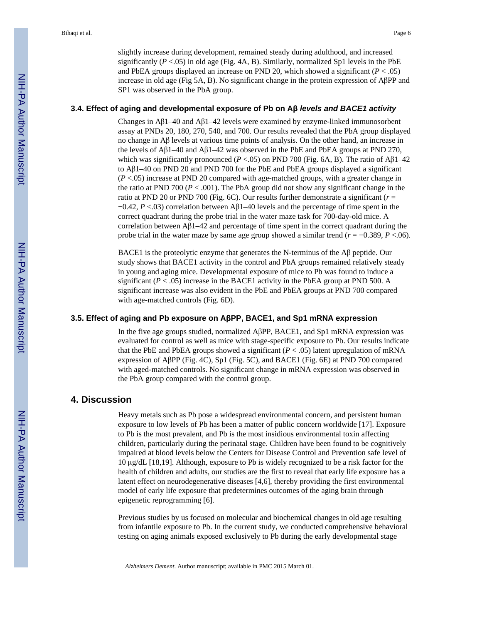slightly increase during development, remained steady during adulthood, and increased significantly  $(P < .05)$  in old age (Fig. 4A, B). Similarly, normalized Sp1 levels in the PbE and PbEA groups displayed an increase on PND 20, which showed a significant  $(P < .05)$ increase in old age (Fig 5A, B). No significant change in the protein expression of AβPP and SP1 was observed in the PbA group.

#### **3.4. Effect of aging and developmental exposure of Pb on Aβ** *levels and BACE1 activity*

Changes in Aβ1–40 and Aβ1–42 levels were examined by enzyme-linked immunosorbent assay at PNDs 20, 180, 270, 540, and 700. Our results revealed that the PbA group displayed no change in Aβ levels at various time points of analysis. On the other hand, an increase in the levels of Aβ1–40 and Aβ1–42 was observed in the PbE and PbEA groups at PND 270, which was significantly pronounced ( $P < .05$ ) on PND 700 (Fig. 6A, B). The ratio of A $\beta$ 1–42 to Aβ1–40 on PND 20 and PND 700 for the PbE and PbEA groups displayed a significant (*P* <.05) increase at PND 20 compared with age-matched groups, with a greater change in the ratio at PND 700  $(P < .001)$ . The PbA group did not show any significant change in the ratio at PND 20 or PND 700 (Fig. 6C). Our results further demonstrate a significant (*r* = −0.42, *P* <.03) correlation between Aβ1–40 levels and the percentage of time spent in the correct quadrant during the probe trial in the water maze task for 700-day-old mice. A correlation between  $\Delta \beta$ 1–42 and percentage of time spent in the correct quadrant during the probe trial in the water maze by same age group showed a similar trend (*r* = −0.389, *P* <.06).

BACE1 is the proteolytic enzyme that generates the N-terminus of the Aβ peptide. Our study shows that BACE1 activity in the control and PbA groups remained relatively steady in young and aging mice. Developmental exposure of mice to Pb was found to induce a significant  $(P < .05)$  increase in the BACE1 activity in the PbEA group at PND 500. A significant increase was also evident in the PbE and PbEA groups at PND 700 compared with age-matched controls (Fig. 6D).

#### **3.5. Effect of aging and Pb exposure on AβPP, BACE1, and Sp1 mRNA expression**

In the five age groups studied, normalized AβPP, BACE1, and Sp1 mRNA expression was evaluated for control as well as mice with stage-specific exposure to Pb. Our results indicate that the PbE and PbEA groups showed a significant  $(P < .05)$  latent upregulation of mRNA expression of AβPP (Fig. 4C), Sp1 (Fig. 5C), and BACE1 (Fig. 6E) at PND 700 compared with aged-matched controls. No significant change in mRNA expression was observed in the PbA group compared with the control group.

#### **4. Discussion**

Heavy metals such as Pb pose a widespread environmental concern, and persistent human exposure to low levels of Pb has been a matter of public concern worldwide [17]. Exposure to Pb is the most prevalent, and Pb is the most insidious environmental toxin affecting children, particularly during the perinatal stage. Children have been found to be cognitively impaired at blood levels below the Centers for Disease Control and Prevention safe level of 10 μg/dL [18,19]. Although, exposure to Pb is widely recognized to be a risk factor for the health of children and adults, our studies are the first to reveal that early life exposure has a latent effect on neurodegenerative diseases [4,6], thereby providing the first environmental model of early life exposure that predetermines outcomes of the aging brain through epigenetic reprogramming [6].

Previous studies by us focused on molecular and biochemical changes in old age resulting from infantile exposure to Pb. In the current study, we conducted comprehensive behavioral testing on aging animals exposed exclusively to Pb during the early developmental stage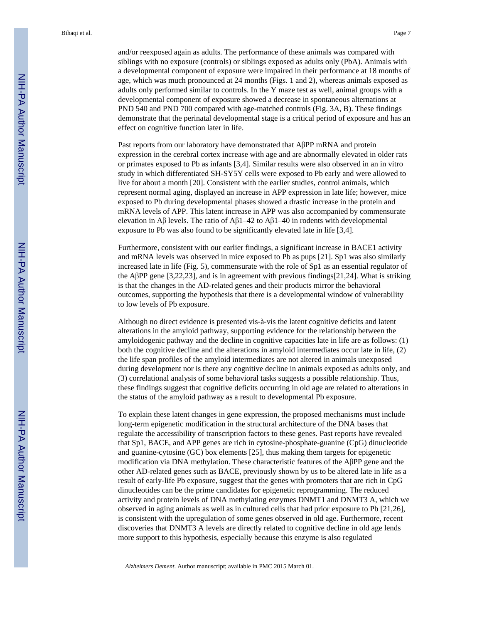and/or reexposed again as adults. The performance of these animals was compared with siblings with no exposure (controls) or siblings exposed as adults only (PbA). Animals with a developmental component of exposure were impaired in their performance at 18 months of age, which was much pronounced at 24 months (Figs. 1 and 2), whereas animals exposed as adults only performed similar to controls. In the Y maze test as well, animal groups with a developmental component of exposure showed a decrease in spontaneous alternations at PND 540 and PND 700 compared with age-matched controls (Fig. 3A, B). These findings demonstrate that the perinatal developmental stage is a critical period of exposure and has an effect on cognitive function later in life.

Past reports from our laboratory have demonstrated that AβPP mRNA and protein expression in the cerebral cortex increase with age and are abnormally elevated in older rats or primates exposed to Pb as infants [3,4]. Similar results were also observed in an in vitro study in which differentiated SH-SY5Y cells were exposed to Pb early and were allowed to live for about a month [20]. Consistent with the earlier studies, control animals, which represent normal aging, displayed an increase in APP expression in late life; however, mice exposed to Pb during developmental phases showed a drastic increase in the protein and mRNA levels of APP. This latent increase in APP was also accompanied by commensurate elevation in Aβ levels. The ratio of Aβ1–42 to Aβ1–40 in rodents with developmental exposure to Pb was also found to be significantly elevated late in life [3,4].

Furthermore, consistent with our earlier findings, a significant increase in BACE1 activity and mRNA levels was observed in mice exposed to Pb as pups [21]. Sp1 was also similarly increased late in life (Fig. 5), commensurate with the role of Sp1 as an essential regulator of the AβPP gene [3,22,23], and is in agreement with previous findings[21,24]. What is striking is that the changes in the AD-related genes and their products mirror the behavioral outcomes, supporting the hypothesis that there is a developmental window of vulnerability to low levels of Pb exposure.

Although no direct evidence is presented vis-à-vis the latent cognitive deficits and latent alterations in the amyloid pathway, supporting evidence for the relationship between the amyloidogenic pathway and the decline in cognitive capacities late in life are as follows: (1) both the cognitive decline and the alterations in amyloid intermediates occur late in life, (2) the life span profiles of the amyloid intermediates are not altered in animals unexposed during development nor is there any cognitive decline in animals exposed as adults only, and (3) correlational analysis of some behavioral tasks suggests a possible relationship. Thus, these findings suggest that cognitive deficits occurring in old age are related to alterations in the status of the amyloid pathway as a result to developmental Pb exposure.

To explain these latent changes in gene expression, the proposed mechanisms must include long-term epigenetic modification in the structural architecture of the DNA bases that regulate the accessibility of transcription factors to these genes. Past reports have revealed that Sp1, BACE, and APP genes are rich in cytosine-phosphate-guanine (CpG) dinucleotide and guanine-cytosine (GC) box elements [25], thus making them targets for epigenetic modification via DNA methylation. These characteristic features of the AβPP gene and the other AD-related genes such as BACE, previously shown by us to be altered late in life as a result of early-life Pb exposure, suggest that the genes with promoters that are rich in CpG dinucleotides can be the prime candidates for epigenetic reprogramming. The reduced activity and protein levels of DNA methylating enzymes DNMT1 and DNMT3 A, which we observed in aging animals as well as in cultured cells that had prior exposure to Pb [21,26], is consistent with the upregulation of some genes observed in old age. Furthermore, recent discoveries that DNMT3 A levels are directly related to cognitive decline in old age lends more support to this hypothesis, especially because this enzyme is also regulated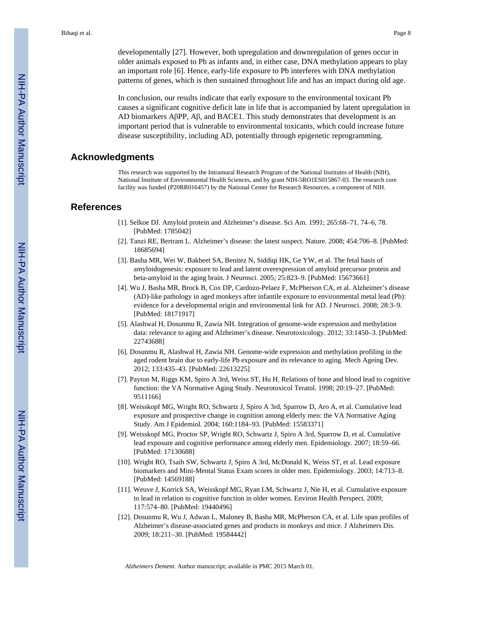developmentally [27]. However, both upregulation and downregulation of genes occur in older animals exposed to Pb as infants and, in either case, DNA methylation appears to play an important role [6]. Hence, early-life exposure to Pb interferes with DNA methylation patterns of genes, which is then sustained throughout life and has an impact during old age.

In conclusion, our results indicate that early exposure to the environmental toxicant Pb causes a significant cognitive deficit late in life that is accompanied by latent upregulation in AD biomarkers AβPP, Aβ, and BACE1. This study demonstrates that development is an important period that is vulnerable to environmental toxicants, which could increase future disease susceptibility, including AD, potentially through epigenetic reprogramming.

#### **Acknowledgments**

This research was supported by the Intramural Research Program of the National Institutes of Health (NIH), National Institute of Environmental Health Sciences, and by grant NIH-5RO1ES015867-03. The research core facility was funded (P20RR016457) by the National Center for Research Resources, a component of NIH.

#### **References**

- [1]. Selkoe DJ. Amyloid protein and Alzheimer's disease. Sci Am. 1991; 265:68–71. 74–6, 78. [PubMed: 1785042]
- [2]. Tanzi RE, Bertram L. Alzheimer's disease: the latest suspect. Nature. 2008; 454:706–8. [PubMed: 18685694]
- [3]. Basha MR, Wei W, Bakheet SA, Benitez N, Siddiqi HK, Ge YW, et al. The fetal basis of amyloidogenesis: exposure to lead and latent overexpression of amyloid precursor protein and beta-amyloid in the aging brain. J Neurosci. 2005; 25:823–9. [PubMed: 15673661]
- [4]. Wu J, Basha MR, Brock B, Cox DP, Cardozo-Pelaez F, McPherson CA, et al. Alzheimer's disease (AD)-like pathology in aged monkeys after infantile exposure to environmental metal lead (Pb): evidence for a developmental origin and environmental link for AD. J Neurosci. 2008; 28:3–9. [PubMed: 18171917]
- [5]. Alashwal H, Dosunmu R, Zawia NH. Integration of genome-wide expression and methylation data: relevance to aging and Alzheimer's disease. Neurotoxicology. 2012; 33:1450–3. [PubMed: 22743688]
- [6]. Dosunmu R, Alashwal H, Zawia NH. Genome-wide expression and methylation profiling in the aged rodent brain due to early-life Pb exposure and its relevance to aging. Mech Ageing Dev. 2012; 133:435–43. [PubMed: 22613225]
- [7]. Payton M, Riggs KM, Spiro A 3rd, Weiss ST, Hu H. Relations of bone and blood lead to cognitive function: the VA Normative Aging Study. Neurotoxicol Teratol. 1998; 20:19–27. [PubMed: 9511166]
- [8]. Weisskopf MG, Wright RO, Schwartz J, Spiro A 3rd, Sparrow D, Aro A, et al. Cumulative lead exposure and prospective change in cognition among elderly men: the VA Normative Aging Study. Am J Epidemiol. 2004; 160:1184–93. [PubMed: 15583371]
- [9]. Weisskopf MG, Proctor SP, Wright RO, Schwartz J, Spiro A 3rd, Sparrow D, et al. Cumulative lead exposure and cognitive performance among elderly men. Epidemiology. 2007; 18:59–66. [PubMed: 17130688]
- [10]. Wright RO, Tsaih SW, Schwartz J, Spiro A 3rd, McDonald K, Weiss ST, et al. Lead exposure biomarkers and Mini-Mental Status Exam scores in older men. Epidemiology. 2003; 14:713–8. [PubMed: 14569188]
- [11]. Weuve J, Korrick SA, Weisskopf MG, Ryan LM, Schwartz J, Nie H, et al. Cumulative exposure to lead in relation to cognitive function in older women. Environ Health Perspect. 2009; 117:574–80. [PubMed: 19440496]
- [12]. Dosunmu R, Wu J, Adwan L, Maloney B, Basha MR, McPherson CA, et al. Life span profiles of Alzheimer's disease-associated genes and products in monkeys and mice. J Alzheimers Dis. 2009; 18:211–30. [PubMed: 19584442]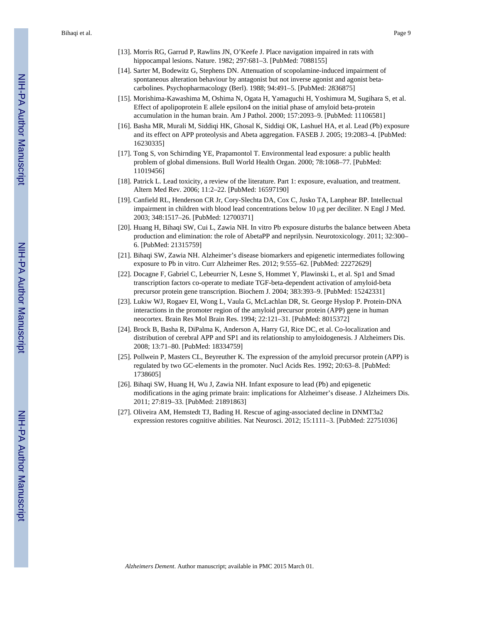- [13]. Morris RG, Garrud P, Rawlins JN, O'Keefe J. Place navigation impaired in rats with hippocampal lesions. Nature. 1982; 297:681–3. [PubMed: 7088155]
- [14]. Sarter M, Bodewitz G, Stephens DN. Attenuation of scopolamine-induced impairment of spontaneous alteration behaviour by antagonist but not inverse agonist and agonist betacarbolines. Psychopharmacology (Berl). 1988; 94:491–5. [PubMed: 2836875]
- [15]. Morishima-Kawashima M, Oshima N, Ogata H, Yamaguchi H, Yoshimura M, Sugihara S, et al. Effect of apolipoprotein E allele epsilon4 on the initial phase of amyloid beta-protein accumulation in the human brain. Am J Pathol. 2000; 157:2093–9. [PubMed: 11106581]
- [16]. Basha MR, Murali M, Siddiqi HK, Ghosal K, Siddiqi OK, Lashuel HA, et al. Lead (Pb) exposure and its effect on APP proteolysis and Abeta aggregation. FASEB J. 2005; 19:2083–4. [PubMed: 16230335]
- [17]. Tong S, von Schirnding YE, Prapamontol T. Environmental lead exposure: a public health problem of global dimensions. Bull World Health Organ. 2000; 78:1068–77. [PubMed: 11019456]
- [18]. Patrick L. Lead toxicity, a review of the literature. Part 1: exposure, evaluation, and treatment. Altern Med Rev. 2006; 11:2–22. [PubMed: 16597190]
- [19]. Canfield RL, Henderson CR Jr, Cory-Slechta DA, Cox C, Jusko TA, Lanphear BP. Intellectual impairment in children with blood lead concentrations below 10 μg per deciliter. N Engl J Med. 2003; 348:1517–26. [PubMed: 12700371]
- [20]. Huang H, Bihaqi SW, Cui L, Zawia NH. In vitro Pb exposure disturbs the balance between Abeta production and elimination: the role of AbetaPP and neprilysin. Neurotoxicology. 2011; 32:300– 6. [PubMed: 21315759]
- [21]. Bihaqi SW, Zawia NH. Alzheimer's disease biomarkers and epigenetic intermediates following exposure to Pb in vitro. Curr Alzheimer Res. 2012; 9:555–62. [PubMed: 22272629]
- [22]. Docagne F, Gabriel C, Lebeurrier N, Lesne S, Hommet Y, Plawinski L, et al. Sp1 and Smad transcription factors co-operate to mediate TGF-beta-dependent activation of amyloid-beta precursor protein gene transcription. Biochem J. 2004; 383:393–9. [PubMed: 15242331]
- [23]. Lukiw WJ, Rogaev EI, Wong L, Vaula G, McLachlan DR, St. George Hyslop P. Protein-DNA interactions in the promoter region of the amyloid precursor protein (APP) gene in human neocortex. Brain Res Mol Brain Res. 1994; 22:121–31. [PubMed: 8015372]
- [24]. Brock B, Basha R, DiPalma K, Anderson A, Harry GJ, Rice DC, et al. Co-localization and distribution of cerebral APP and SP1 and its relationship to amyloidogenesis. J Alzheimers Dis. 2008; 13:71–80. [PubMed: 18334759]
- [25]. Pollwein P, Masters CL, Beyreuther K. The expression of the amyloid precursor protein (APP) is regulated by two GC-elements in the promoter. Nucl Acids Res. 1992; 20:63–8. [PubMed: 1738605]
- [26]. Bihaqi SW, Huang H, Wu J, Zawia NH. Infant exposure to lead (Pb) and epigenetic modifications in the aging primate brain: implications for Alzheimer's disease. J Alzheimers Dis. 2011; 27:819–33. [PubMed: 21891863]
- [27]. Oliveira AM, Hemstedt TJ, Bading H. Rescue of aging-associated decline in DNMT3a2 expression restores cognitive abilities. Nat Neurosci. 2012; 15:1111–3. [PubMed: 22751036]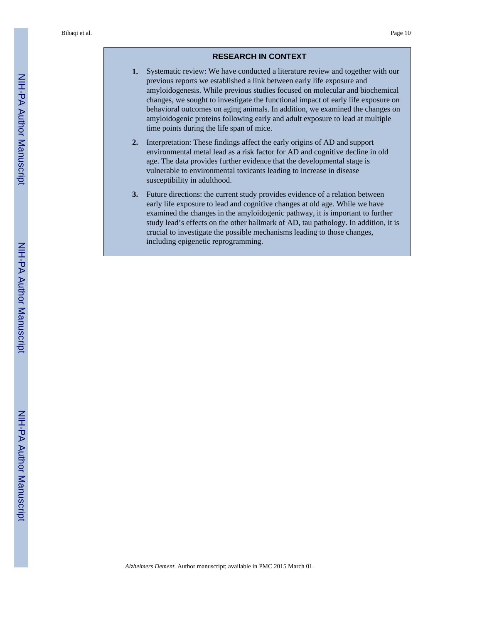#### **RESEARCH IN CONTEXT**

- **1.** Systematic review: We have conducted a literature review and together with our previous reports we established a link between early life exposure and amyloidogenesis. While previous studies focused on molecular and biochemical changes, we sought to investigate the functional impact of early life exposure on behavioral outcomes on aging animals. In addition, we examined the changes on amyloidogenic proteins following early and adult exposure to lead at multiple time points during the life span of mice.
- **2.** Interpretation: These findings affect the early origins of AD and support environmental metal lead as a risk factor for AD and cognitive decline in old age. The data provides further evidence that the developmental stage is vulnerable to environmental toxicants leading to increase in disease susceptibility in adulthood.
- **3.** Future directions: the current study provides evidence of a relation between early life exposure to lead and cognitive changes at old age. While we have examined the changes in the amyloidogenic pathway, it is important to further study lead's effects on the other hallmark of AD, tau pathology. In addition, it is crucial to investigate the possible mechanisms leading to those changes, including epigenetic reprogramming.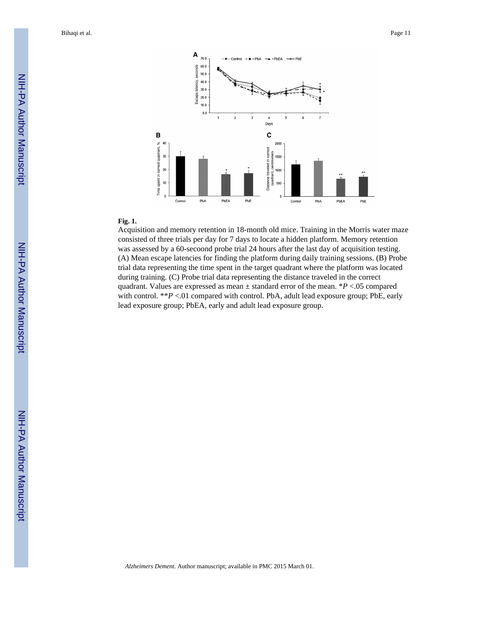

#### **Fig. 1.**

Acquisition and memory retention in 18-month old mice. Training in the Morris water maze consisted of three trials per day for 7 days to locate a hidden platform. Memory retention was assessed by a 60-secoond probe trial 24 hours after the last day of acquisition testing. (A) Mean escape latencies for finding the platform during daily training sessions. (B) Probe trial data representing the time spent in the target quadrant where the platform was located during training. (C) Probe trial data representing the distance traveled in the correct quadrant. Values are expressed as mean ± standard error of the mean. \**P* <.05 compared with control. \*\**P* <.01 compared with control. PbA, adult lead exposure group; PbE, early lead exposure group; PbEA, early and adult lead exposure group.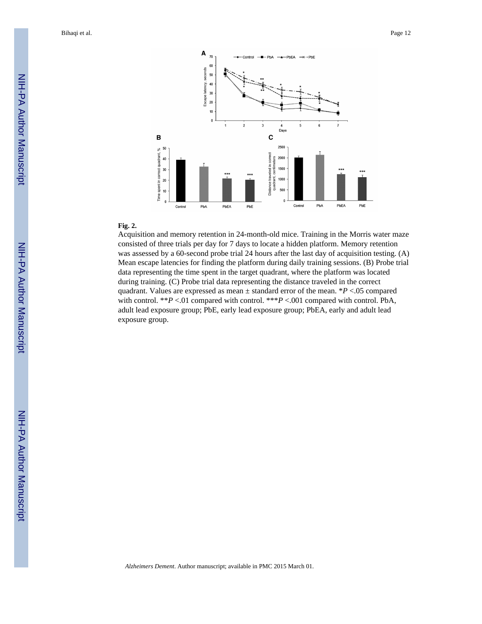

#### **Fig. 2.**

Acquisition and memory retention in 24-month-old mice. Training in the Morris water maze consisted of three trials per day for 7 days to locate a hidden platform. Memory retention was assessed by a 60-second probe trial 24 hours after the last day of acquisition testing. (A) Mean escape latencies for finding the platform during daily training sessions. (B) Probe trial data representing the time spent in the target quadrant, where the platform was located during training. (C) Probe trial data representing the distance traveled in the correct quadrant. Values are expressed as mean  $\pm$  standard error of the mean. \**P* <.05 compared with control. \*\**P* <.01 compared with control. \*\*\**P* <.001 compared with control. PbA, adult lead exposure group; PbE, early lead exposure group; PbEA, early and adult lead exposure group.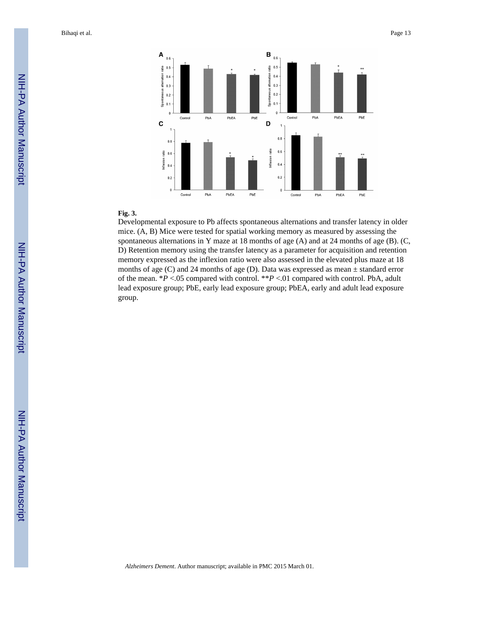

#### **Fig. 3.**

Developmental exposure to Pb affects spontaneous alternations and transfer latency in older mice. (A, B) Mice were tested for spatial working memory as measured by assessing the spontaneous alternations in Y maze at 18 months of age (A) and at 24 months of age (B). (C, D) Retention memory using the transfer latency as a parameter for acquisition and retention memory expressed as the inflexion ratio were also assessed in the elevated plus maze at 18 months of age (C) and 24 months of age (D). Data was expressed as mean  $\pm$  standard error of the mean. \**P* <.05 compared with control. \*\**P* <.01 compared with control. PbA, adult lead exposure group; PbE, early lead exposure group; PbEA, early and adult lead exposure group.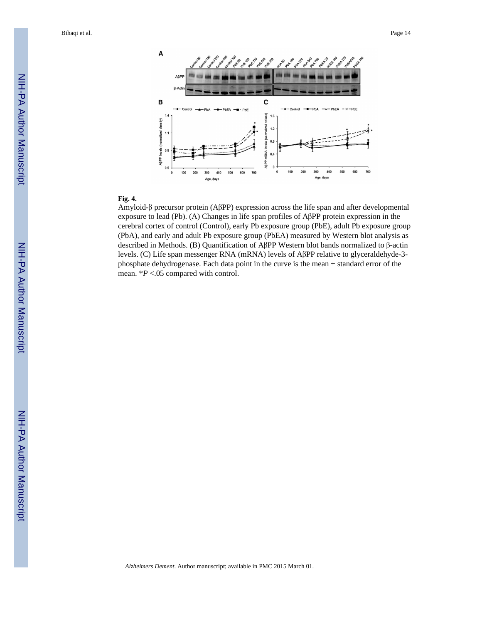

#### **Fig. 4.**

Amyloid-β precursor protein (AβPP) expression across the life span and after developmental exposure to lead (Pb). (A) Changes in life span profiles of AβPP protein expression in the cerebral cortex of control (Control), early Pb exposure group (PbE), adult Pb exposure group (PbA), and early and adult Pb exposure group (PbEA) measured by Western blot analysis as described in Methods. (B) Quantification of AβPP Western blot bands normalized to β-actin levels. (C) Life span messenger RNA (mRNA) levels of AβPP relative to glyceraldehyde-3 phosphate dehydrogenase. Each data point in the curve is the mean ± standard error of the mean. \**P* <.05 compared with control.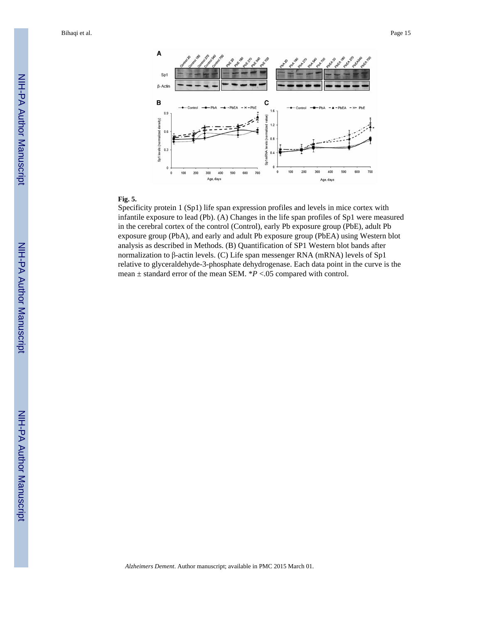

#### **Fig. 5.**

Specificity protein 1 (Sp1) life span expression profiles and levels in mice cortex with infantile exposure to lead (Pb). (A) Changes in the life span profiles of Sp1 were measured in the cerebral cortex of the control (Control), early Pb exposure group (PbE), adult Pb exposure group (PbA), and early and adult Pb exposure group (PbEA) using Western blot analysis as described in Methods. (B) Quantification of SP1 Western blot bands after normalization to β-actin levels. (C) Life span messenger RNA (mRNA) levels of Sp1 relative to glyceraldehyde-3-phosphate dehydrogenase. Each data point in the curve is the mean ± standard error of the mean SEM. \**P* <.05 compared with control.